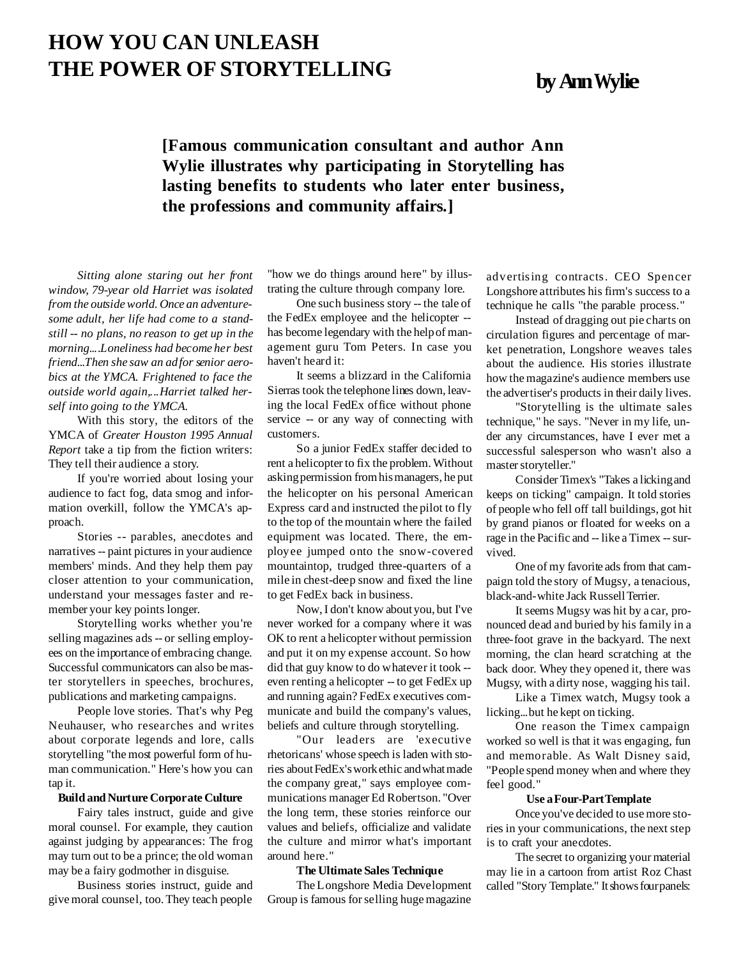# **HOW YOU CAN UNLEASH THE POWER OF STORYTELLING byAnnWylie**

## **[Famous communication consultant and author Ann Wylie illustrates why participating in Storytelling has lasting benefits to students who later enter business, the professions and community affairs.]**

*Sitting alone staring out her front window, 79-year old Harriet was isolated from the outsideworld. Once an adventuresome adult, her life had come to a standstill -- no plans, no reason to get up in the morning....Loneliness had become her best friend...Then she saw an adfor senior aerobics at the YMCA. Frightened to face the outside world again,...Harriet talked herself into going to the YMCA.*

With this story, the editors of the YMCA of *Greater Houston 1995 Annual Report* take a tip from the fiction writers: They tell their audience a story.

If you're worried about losing your audience to fact fog, data smog and information overkill, follow the YMCA's approach.

Stories -- parables, anecdotes and narratives -- paint pictures in your audience members' minds. And they help them pay closer attention to your communication, understand your messages faster and remember your key points longer.

Storytelling works whether you're selling magazines ads -- or selling employees on the importance of embracing change. Successful communicators can also be master storytellers in speeches, brochures, publications and marketing campaigns.

People love stories. That's why Peg Neuhauser, who researches and writes about corporate legends and lore, calls storytelling "the most powerful form of human communication." Here's how you can tap it.

#### **BuildandNurture Corporate Culture**

Fairy tales instruct, guide and give moral counsel. For example, they caution against judging by appearances: The frog may turn out to be a prince; the old woman may be a fairy godmother in disguise.

Business stories instruct, guide and give moral counsel, too.They teach people

"how we do things around here" by illustrating the culture through company lore.

One such business story -- the tale of the FedEx employee and the helicopter - has become legendary with the helpof management guru Tom Peters. In case you haven't heard it:

It seems a blizzard in the California Sierras took the telephone lines down, leaving the local FedEx office without phone service -- or any way of connecting with customers.

So a junior FedEx staffer decided to rent a helicopter to fix the problem.Without askingpermission fromhismanagers, he put the helicopter on his personal American Express card and instructed the pilot to fly to the top of the mountain where the failed equipment was located. There, the employee jumped onto the snow-covered mountaintop, trudged three-quarters of a mile in chest-deep snow and fixed the line to get FedEx back in business.

Now,I don't know aboutyou, but I've never worked for a company where it was OK to rent a helicopter without permission and put it on my expense account. So how did that guy know to do whatever it took - even renting a helicopter -- to get FedEx up and running again?FedEx executives communicate and build the company's values, beliefs and culture through storytelling.

"Our leaders are 'executive rhetoricans' whose speech is laden with stories about FedEx's work ethic and what made the company great," says employee communications manager Ed Robertson. "Over the long term, these stories reinforce our values and beliefs, officialize and validate the culture and mirror what's important around here."

#### **The UltimateSales Technique**

The Longshore Media Development Group is famous forselling huge magazine

advertising contracts. CEO Spencer Longshore attributes his firm's success to a technique he calls "the parable process."

Instead of dragging out pie charts on circulation figures and percentage of market penetration, Longshore weaves tales about the audience. His stories illustrate how the magazine's audience members use the advertiser's products in their daily lives.

"Storytelling is the ultimate sales technique," he says. "Never in my life, under any circumstances, have I ever met a successful salesperson who wasn't also a master storyteller."

Consider Timex's "Takes a lickingand keeps on ticking" campaign. It told stories of people who fell off tall buildings, got hit by grand pianos or floated for weeks on a rage in the Pacific and -- like a Timex -- survived.

One of my favorite ads from that campaign told the story of Mugsy, a tenacious, black-and-white Jack RussellTerrier.

It seems Mugsy was hit by a car, pronounced dead and buried by his family in a three-foot grave in the backyard. The next morning, the clan heard scratching at the back door. Whey they opened it, there was Mugsy, with a dirty nose, wagging his tail.

Like a Timex watch, Mugsy took a licking...but he kept on ticking.

One reason the Timex campaign worked so well is that it was engaging, fun and memorable. As Walt Disney said, "People spend money when and where they feel good."

#### **Use aFour-PartTemplate**

Once you've decided to use more stories in your communications, the next step is to craft your anecdotes.

The secret to organizing your material may lie in a cartoon from artist Roz Chast called "Story Template." It shows four panels: